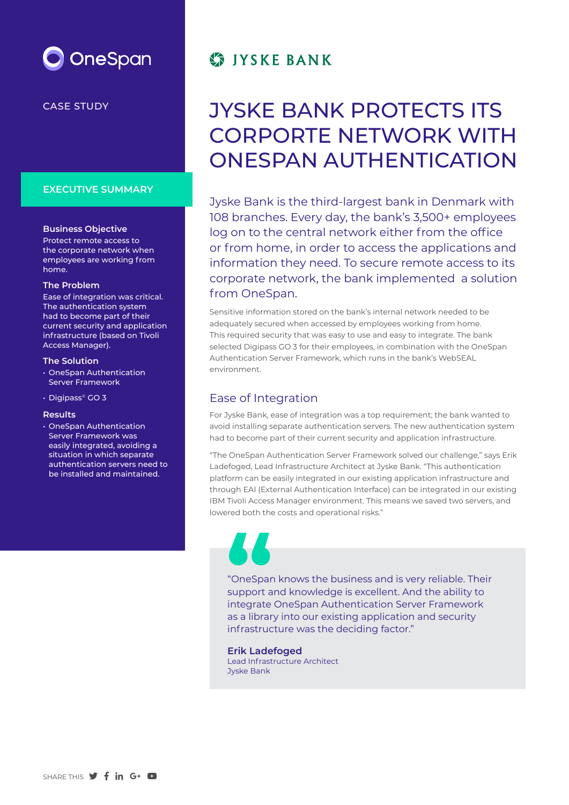

CASE STUDY

### **EXECUTIVE SUMMARY**

### **Business Objective**

Protect remote access to the corporate network when employees are working from home.

#### **The Problem**

Ease of integration was critical. The authentication system had to become part of their current security and application infrastructure (based on Tivoli Access Manager).

### **The Solution**

- OneSpan Authentication Server Framework
- Digipass® GO 3

### **Results**

• OneSpan Authentication Server Framework was easily integrated, avoiding a situation in which separate authentication servers need to be installed and maintained.

# **STIYSKE BANK**

# JYSKE BANK PROTECTS ITS CORPORTE NETWORK WITH ONESPAN AUTHENTICATION

Jyske Bank is the third-largest bank in Denmark with 108 branches. Every day, the bank's 3,500+ employees log on to the central network either from the office or from home, in order to access the applications and information they need. To secure remote access to its corporate network, the bank implemented a solution from OneSpan.

Sensitive information stored on the bank's internal network needed to be adequately secured when accessed by employees working from home. This required security that was easy to use and easy to integrate. The bank selected Digipass GO 3 for their employees, in combination with the OneSpan Authentication Server Framework, which runs in the bank's WebSEAL environment.

## Ease of Integration

For Jyske Bank, ease of integration was a top requirement; the bank wanted to avoid installing separate authentication servers. The new authentication system had to become part of their current security and application infrastructure.

"The OneSpan Authentication Server Framework solved our challenge," says Erik Ladefoged, Lead Infrastructure Architect at Jyske Bank. "This authentication platform can be easily integrated in our existing application infrastructure and through EAI (External Authentication Interface) can be integrated in our existing IBM Tivoli Access Manager environment. This means we saved two servers, and lowered both the costs and operational risks."



"OneSpan knows the business and is very reliable. Their support and knowledge is excellent. And the ability to integrate OneSpan Authentication Server Framework as a library into our existing application and security infrastructure was the deciding factor." **Consequence**<br> **Support** a<br> **Support** a<br> **Support**<br> **Support**<br> **Support** 

**Erik Ladefoged** Lead Infrastructure Architect Jyske Bank